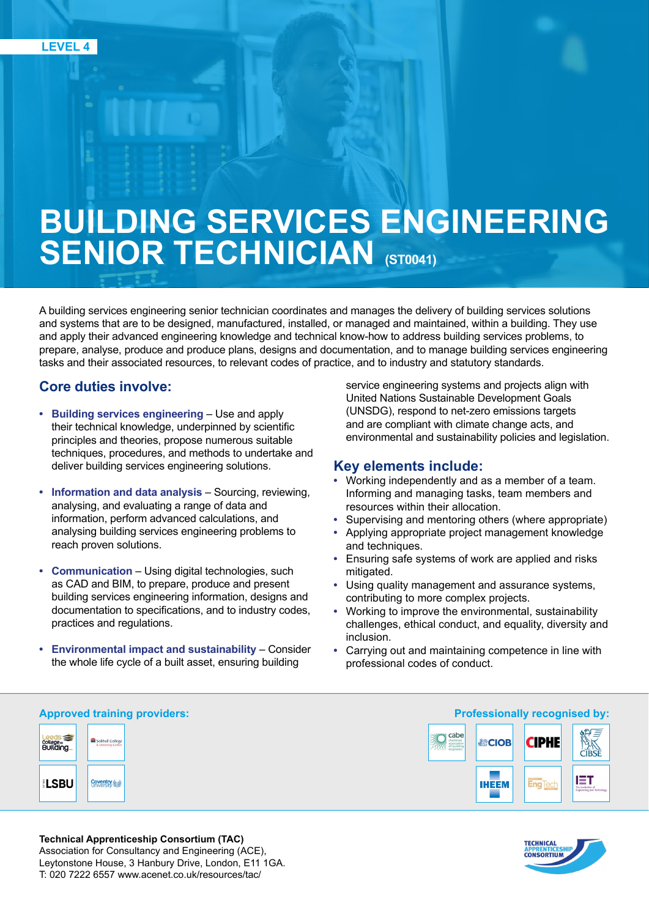# **BUILDING SERVICES ENGINEERING SENIOR TECHNICIAN (ST0041)**

A building services engineering senior technician coordinates and manages the delivery of building services solutions and systems that are to be designed, manufactured, installed, or managed and maintained, within a building. They use and apply their advanced engineering knowledge and technical know-how to address building services problems, to prepare, analyse, produce and produce plans, designs and documentation, and to manage building services engineering tasks and their associated resources, to relevant codes of practice, and to industry and statutory standards.

# **Core duties involve:**

- **• Building services engineering** Use and apply their technical knowledge, underpinned by scientific principles and theories, propose numerous suitable techniques, procedures, and methods to undertake and deliver building services engineering solutions.
- **• Information and data analysis** Sourcing, reviewing, analysing, and evaluating a range of data and information, perform advanced calculations, and analysing building services engineering problems to reach proven solutions.
- **• Communication** Using digital technologies, such as CAD and BIM, to prepare, produce and present building services engineering information, designs and documentation to specifications, and to industry codes, practices and regulations.
- **• Environmental impact and sustainability** Consider the whole life cycle of a built asset, ensuring building

service engineering systems and projects align with United Nations Sustainable Development Goals (UNSDG), respond to net-zero emissions targets and are compliant with climate change acts, and environmental and sustainability policies and legislation.

# **Key elements include:**

- **•** Working independently and as a member of a team. Informing and managing tasks, team members and resources within their allocation.
- **•** Supervising and mentoring others (where appropriate)
- **•** Applying appropriate project management knowledge and techniques.
- **•** Ensuring safe systems of work are applied and risks mitigated.
- **•** Using quality management and assurance systems, contributing to more complex projects.
- **•** Working to improve the environmental, sustainability challenges, ethical conduct, and equality, diversity and inclusion.
- **•** Carrying out and maintaining competence in line with professional codes of conduct.





#### **Technical Apprenticeship Consortium (TAC)**  Association for Consultancy and Engineering (ACE), Leytonstone House, 3 Hanbury Drive, London, E11 1GA. T: 020 7222 6557 www.acenet.co.uk/resources/tac/